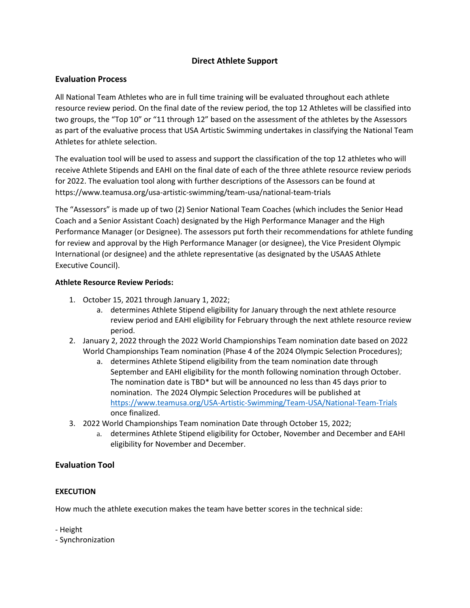# **Direct Athlete Support**

## **Evaluation Process**

All National Team Athletes who are in full time training will be evaluated throughout each athlete resource review period. On the final date of the review period, the top 12 Athletes will be classified into two groups, the "Top 10" or "11 through 12" based on the assessment of the athletes by the Assessors as part of the evaluative process that USA Artistic Swimming undertakes in classifying the National Team Athletes for athlete selection.

The evaluation tool will be used to assess and support the classification of the top 12 athletes who will receive Athlete Stipends and EAHI on the final date of each of the three athlete resource review periods for 2022. The evaluation tool along with further descriptions of the Assessors can be found at <https://www.teamusa.org/usa-artistic-swimming/team-usa/national-team-trials>

The "Assessors" is made up of two (2) Senior National Team Coaches (which includes the Senior Head Coach and a Senior Assistant Coach) designated by the High Performance Manager and the High Performance Manager (or Designee). The assessors put forth their recommendations for athlete funding for review and approval by the High Performance Manager (or designee), the Vice President Olympic International (or designee) and the athlete representative (as designated by the USAAS Athlete Executive Council).

## **Athlete Resource Review Periods:**

- 1. October 15, 2021 through January 1, 2022;
	- a. determines Athlete Stipend eligibility for January through the next athlete resource review period and EAHI eligibility for February through the next athlete resource review period.
- 2. January 2, 2022 through the 2022 World Championships Team nomination date based on 2022 World Championships Team nomination (Phase 4 of the 2024 Olympic Selection Procedures);
	- a. determines Athlete Stipend eligibility from the team nomination date through September and EAHI eligibility for the month following nomination through October. The nomination date is TBD\* but will be announced no less than 45 days prior to nomination. The 2024 Olympic Selection Procedures will be published at <https://www.teamusa.org/USA-Artistic-Swimming/Team-USA/National-Team-Trials> once finalized.
- 3. 2022 World Championships Team nomination Date through October 15, 2022;
	- a. determines Athlete Stipend eligibility for October, November and December and EAHI eligibility for November and December.

# **Evaluation Tool**

# **EXECUTION**

How much the athlete execution makes the team have better scores in the technical side:

- Height

- Synchronization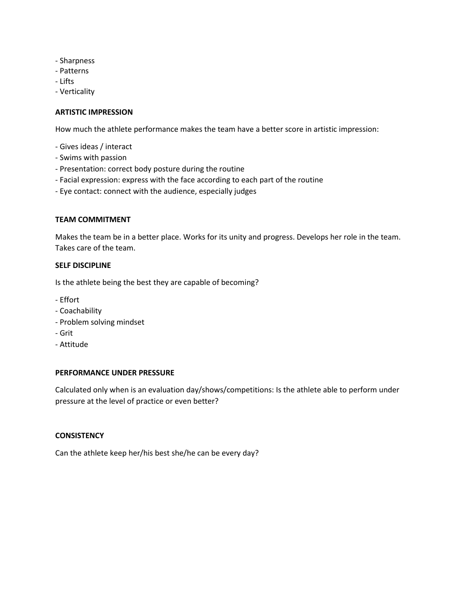- Sharpness
- Patterns
- Lifts
- Verticality

### **ARTISTIC IMPRESSION**

How much the athlete performance makes the team have a better score in artistic impression:

- Gives ideas / interact
- Swims with passion
- Presentation: correct body posture during the routine
- Facial expression: express with the face according to each part of the routine
- Eye contact: connect with the audience, especially judges

### **TEAM COMMITMENT**

Makes the team be in a better place. Works for its unity and progress. Develops her role in the team. Takes care of the team.

#### **SELF DISCIPLINE**

Is the athlete being the best they are capable of becoming?

- Effort
- Coachability
- Problem solving mindset
- Grit
- Attitude

#### **PERFORMANCE UNDER PRESSURE**

Calculated only when is an evaluation day/shows/competitions: Is the athlete able to perform under pressure at the level of practice or even better?

### **CONSISTENCY**

Can the athlete keep her/his best she/he can be every day?